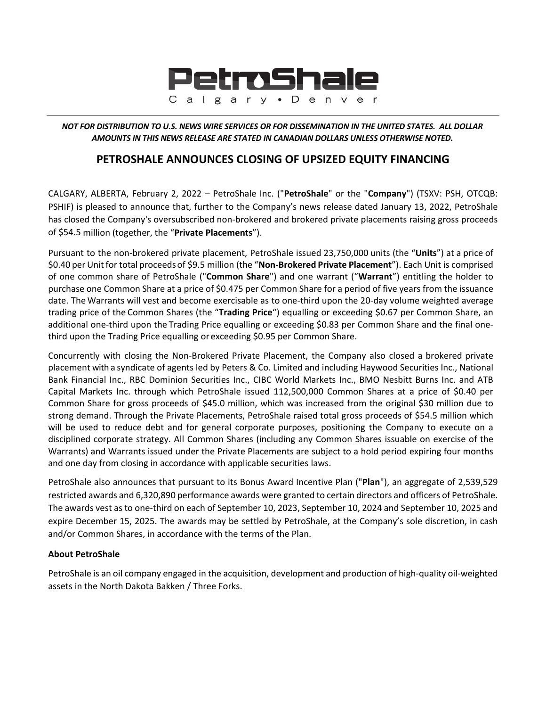

NOT FOR DISTRIBUTION TO U.S. NEWS WIRE SERVICES OR FOR DISSEMINATION IN THE UNITED STATES. ALL DOLLAR *AMOUNTS IN THIS NEWS RELEASE ARE STATED IN CANADIAN DOLLARS UNLESS OTHERWISE NOTED.*

## **PETROSHALE ANNOUNCES CLOSING OF UPSIZED EQUITY FINANCING**

CALGARY, ALBERTA, February 2, 2022 – PetroShale Inc. ("**PetroShale**" or the "**Company**") (TSXV: PSH, OTCQB: PSHIF) is pleased to announce that, further to the Company's news release dated January 13, 2022, PetroShale has closed the Company's oversubscribed non-brokered and brokered private placements raising gross proceeds of \$54.5 million (together, the "**Private Placements**").

Pursuant to the non‐brokered private placement, PetroShale issued 23,750,000 units (the "**Units**") at a price of \$0.40 per Unitfor total proceeds of \$9.5 million (the "**Non‐Brokered Private Placement**"). Each Unit is comprised of one common share of PetroShale ("**Common Share**") and one warrant ("**Warrant**") entitling the holder to purchase one Common Share at a price of \$0.475 per Common Share for a period of five years from the issuance date. The Warrants will vest and become exercisable as to one‐third upon the 20‐day volume weighted average trading price of the Common Shares (the "**Trading Price**") equalling or exceeding \$0.67 per Common Share, an additional one-third upon the Trading Price equalling or exceeding \$0.83 per Common Share and the final onethird upon the Trading Price equalling or exceeding \$0.95 per Common Share.

Concurrently with closing the Non‐Brokered Private Placement, the Company also closed a brokered private placement with a syndicate of agents led by Peters & Co. Limited and including Haywood Securities Inc., National Bank Financial Inc., RBC Dominion Securities Inc., CIBC World Markets Inc., BMO Nesbitt Burns Inc. and ATB Capital Markets Inc. through which PetroShale issued 112,500,000 Common Shares at a price of \$0.40 per Common Share for gross proceeds of \$45.0 million, which was increased from the original \$30 million due to strong demand. Through the Private Placements, PetroShale raised total gross proceeds of \$54.5 million which will be used to reduce debt and for general corporate purposes, positioning the Company to execute on a disciplined corporate strategy. All Common Shares (including any Common Shares issuable on exercise of the Warrants) and Warrants issued under the Private Placements are subject to a hold period expiring four months and one day from closing in accordance with applicable securities laws.

PetroShale also announces that pursuant to its Bonus Award Incentive Plan ("**Plan**"), an aggregate of 2,539,529 restricted awards and 6,320,890 performance awards were granted to certain directors and officers of PetroShale. The awards vest as to one‐third on each of September 10, 2023, September 10, 2024 and September 10, 2025 and expire December 15, 2025. The awards may be settled by PetroShale, at the Company's sole discretion, in cash and/or Common Shares, in accordance with the terms of the Plan.

## **About PetroShale**

PetroShale is an oil company engaged in the acquisition, development and production of high‐quality oil‐weighted assets in the North Dakota Bakken / Three Forks.